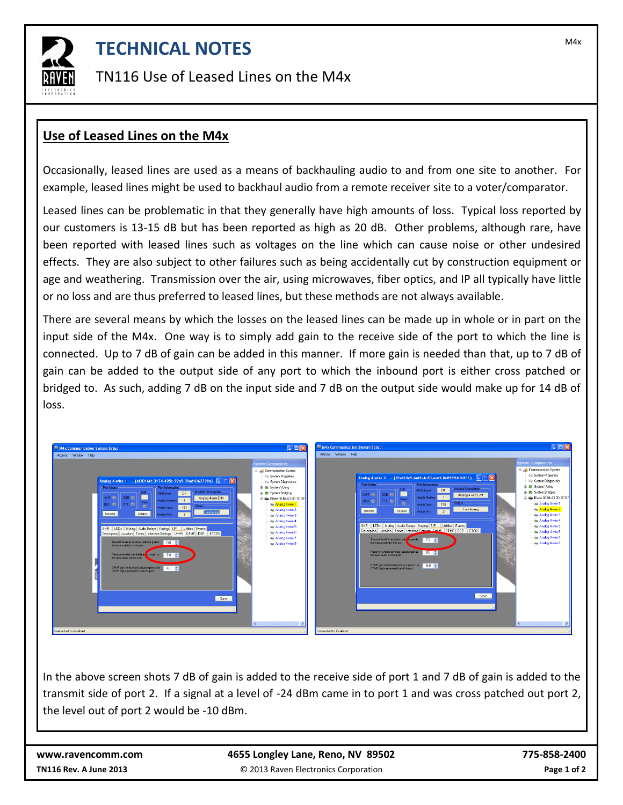

## **TECHNICAL NOTES TECHNICAL NOTES**

TN116 Use of Leased Lines on the M4x

## **Use of Leased Lines on the M4x**

Occasionally, leased lines are used as a means of backhauling audio to and from one site to another. For example, leased lines might be used to backhaul audio from a remote receiver site to a voter/comparator.

Leased lines can be problematic in that they generally have high amounts of loss. Typical loss reported by our customers is 13-15 dB but has been reported as high as 20 dB. Other problems, although rare, have been reported with leased lines such as voltages on the line which can cause noise or other undesired effects. They are also subject to other failures such as being accidentally cut by construction equipment or age and weathering. Transmission over the air, using microwaves, fiber optics, and IP all typically have little or no loss and are thus preferred to leased lines, but these methods are not always available.

There are several means by which the losses on the leased lines can be made up in whole or in part on the input side of the M4x. One way is to simply add gain to the receive side of the port to which the line is connected. Up to 7 dB of gain can be added in this manner. If more gain is needed than that, up to 7 dB of gain can be added to the output side of any port to which the inbound port is either cross patched or bridged to. As such, adding 7 dB on the input side and 7 dB on the output side would make up for 14 dB of loss.



In the above screen shots 7 dB of gain is added to the receive side of port 1 and 7 dB of gain is added to the transmit side of port 2. If a signal at a level of -24 dBm came in to port 1 and was cross patched out port 2, the level out of port 2 would be -10 dBm.

| www.ravencomm.com             | 4655 Longley Lane, Reno, NV 89502    | 775-858-2400 |
|-------------------------------|--------------------------------------|--------------|
| <b>TN116 Rev. A June 2013</b> | © 2013 Raven Electronics Corporation | Page 1 of 2  |